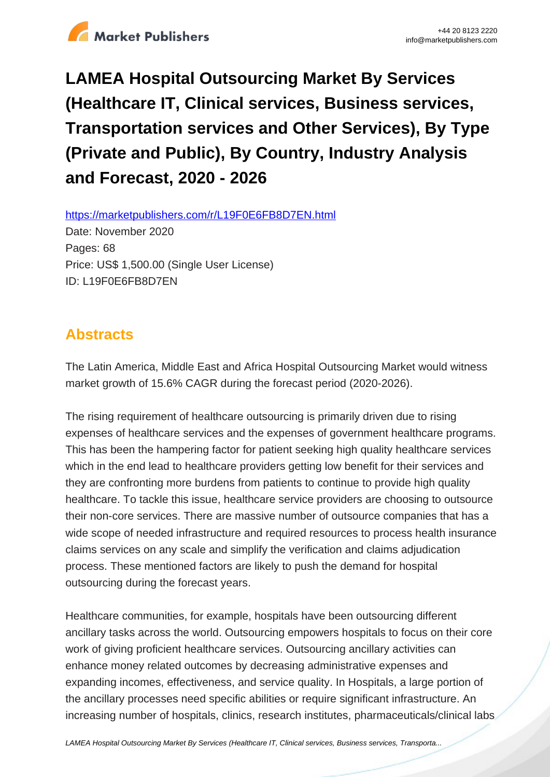

# **LAMEA Hospital Outsourcing Market By Services (Healthcare IT, Clinical services, Business services, Transportation services and Other Services), By Type (Private and Public), By Country, Industry Analysis and Forecast, 2020 - 2026**

https://marketpublishers.com/r/L19F0E6FB8D7EN.html

Date: November 2020 Pages: 68 Price: US\$ 1,500.00 (Single User License) ID: L19F0E6FB8D7EN

# **Abstracts**

The Latin America, Middle East and Africa Hospital Outsourcing Market would witness market growth of 15.6% CAGR during the forecast period (2020-2026).

The rising requirement of healthcare outsourcing is primarily driven due to rising expenses of healthcare services and the expenses of government healthcare programs. This has been the hampering factor for patient seeking high quality healthcare services which in the end lead to healthcare providers getting low benefit for their services and they are confronting more burdens from patients to continue to provide high quality healthcare. To tackle this issue, healthcare service providers are choosing to outsource their non-core services. There are massive number of outsource companies that has a wide scope of needed infrastructure and required resources to process health insurance claims services on any scale and simplify the verification and claims adjudication process. These mentioned factors are likely to push the demand for hospital outsourcing during the forecast years.

Healthcare communities, for example, hospitals have been outsourcing different ancillary tasks across the world. Outsourcing empowers hospitals to focus on their core work of giving proficient healthcare services. Outsourcing ancillary activities can enhance money related outcomes by decreasing administrative expenses and expanding incomes, effectiveness, and service quality. In Hospitals, a large portion of the ancillary processes need specific abilities or require significant infrastructure. An increasing number of hospitals, clinics, research institutes, pharmaceuticals/clinical labs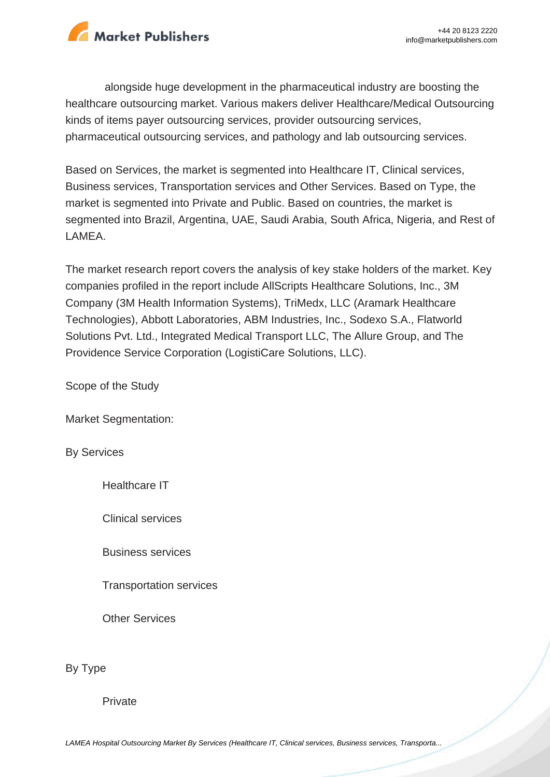

alongside huge development in the pharmaceutical industry are boosting the healthcare outsourcing market. Various makers deliver Healthcare/Medical Outsourcing kinds of items payer outsourcing services, provider outsourcing services, pharmaceutical outsourcing services, and pathology and lab outsourcing services.

Based on Services, the market is segmented into Healthcare IT, Clinical services, Business services, Transportation services and Other Services. Based on Type, the market is segmented into Private and Public. Based on countries, the market is segmented into Brazil, Argentina, UAE, Saudi Arabia, South Africa, Nigeria, and Rest of LAMEA.

The market research report covers the analysis of key stake holders of the market. Key companies profiled in the report include AllScripts Healthcare Solutions, Inc., 3M Company (3M Health Information Systems), TriMedx, LLC (Aramark Healthcare Technologies), Abbott Laboratories, ABM Industries, Inc., Sodexo S.A., Flatworld Solutions Pvt. Ltd., Integrated Medical Transport LLC, The Allure Group, and The Providence Service Corporation (LogistiCare Solutions, LLC).

Scope of the Study

Market Segmentation:

By Services

Healthcare IT

Clinical services

Business services

Transportation services

Other Services

By Type

Private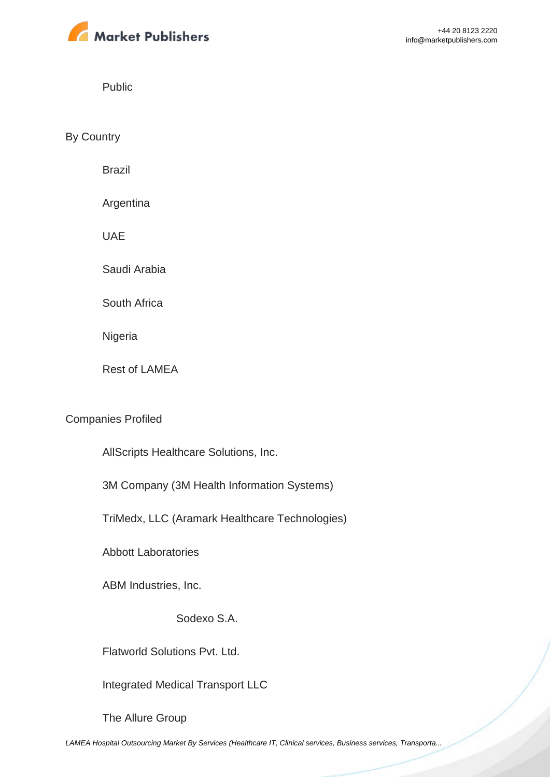

Public

By Country

Brazil

Argentina

UAE

Saudi Arabia

South Africa

Nigeria

Rest of LAMEA

#### Companies Profiled

AllScripts Healthcare Solutions, Inc.

3M Company (3M Health Information Systems)

TriMedx, LLC (Aramark Healthcare Technologies)

Abbott Laboratories

ABM Industries, Inc.

Sodexo S.A.

Flatworld Solutions Pvt. Ltd.

Integrated Medical Transport LLC

The Allure Group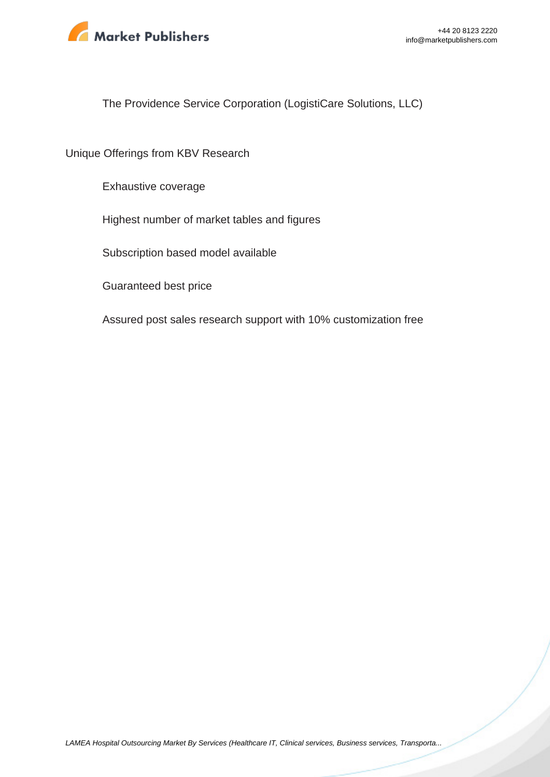

The Providence Service Corporation (LogistiCare Solutions, LLC)

Unique Offerings from KBV Research

Exhaustive coverage

Highest number of market tables and figures

Subscription based model available

Guaranteed best price

Assured post sales research support with 10% customization free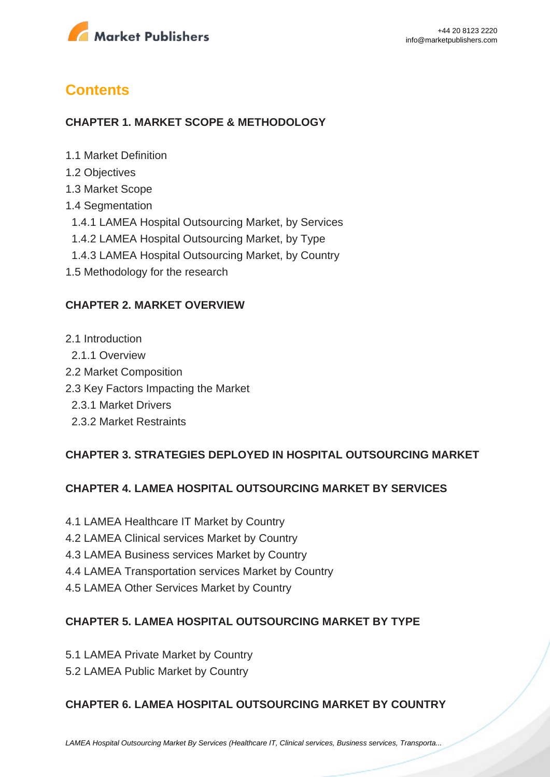

# **Contents**

#### **CHAPTER 1. MARKET SCOPE & METHODOLOGY**

- 1.1 Market Definition
- 1.2 Objectives
- 1.3 Market Scope
- 1.4 Segmentation
- 1.4.1 LAMEA Hospital Outsourcing Market, by Services
- 1.4.2 LAMEA Hospital Outsourcing Market, by Type
- 1.4.3 LAMEA Hospital Outsourcing Market, by Country
- 1.5 Methodology for the research

#### **CHAPTER 2. MARKET OVERVIEW**

- 2.1 Introduction
- 2.1.1 Overview
- 2.2 Market Composition
- 2.3 Key Factors Impacting the Market
	- 2.3.1 Market Drivers
	- 2.3.2 Market Restraints

#### **CHAPTER 3. STRATEGIES DEPLOYED IN HOSPITAL OUTSOURCING MARKET**

#### **CHAPTER 4. LAMEA HOSPITAL OUTSOURCING MARKET BY SERVICES**

- 4.1 LAMEA Healthcare IT Market by Country
- 4.2 LAMEA Clinical services Market by Country
- 4.3 LAMEA Business services Market by Country
- 4.4 LAMEA Transportation services Market by Country
- 4.5 LAMEA Other Services Market by Country

#### **CHAPTER 5. LAMEA HOSPITAL OUTSOURCING MARKET BY TYPE**

- 5.1 LAMEA Private Market by Country
- 5.2 LAMEA Public Market by Country

#### **CHAPTER 6. LAMEA HOSPITAL OUTSOURCING MARKET BY COUNTRY**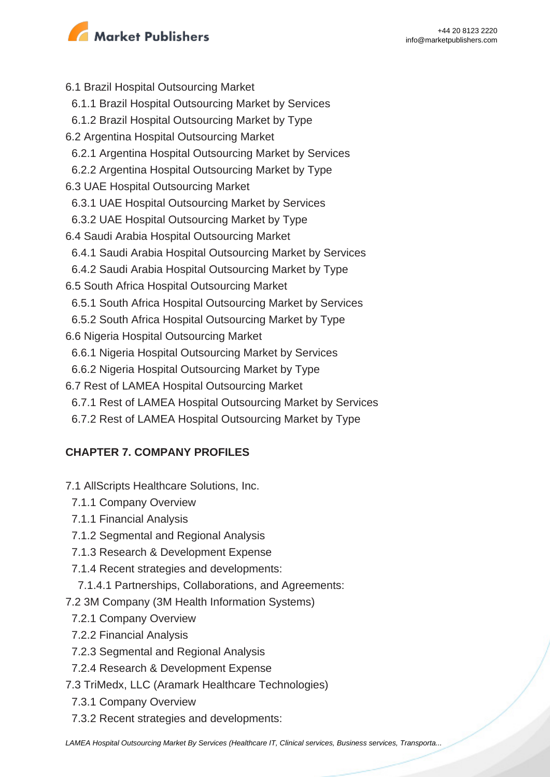

- 6.1 Brazil Hospital Outsourcing Market 6.1.1 Brazil Hospital Outsourcing Market by Services 6.1.2 Brazil Hospital Outsourcing Market by Type 6.2 Argentina Hospital Outsourcing Market 6.2.1 Argentina Hospital Outsourcing Market by Services 6.2.2 Argentina Hospital Outsourcing Market by Type 6.3 UAE Hospital Outsourcing Market 6.3.1 UAE Hospital Outsourcing Market by Services 6.3.2 UAE Hospital Outsourcing Market by Type 6.4 Saudi Arabia Hospital Outsourcing Market 6.4.1 Saudi Arabia Hospital Outsourcing Market by Services 6.4.2 Saudi Arabia Hospital Outsourcing Market by Type 6.5 South Africa Hospital Outsourcing Market 6.5.1 South Africa Hospital Outsourcing Market by Services 6.5.2 South Africa Hospital Outsourcing Market by Type 6.6 Nigeria Hospital Outsourcing Market 6.6.1 Nigeria Hospital Outsourcing Market by Services 6.6.2 Nigeria Hospital Outsourcing Market by Type 6.7 Rest of LAMEA Hospital Outsourcing Market 6.7.1 Rest of LAMEA Hospital Outsourcing Market by Services
	- 6.7.2 Rest of LAMEA Hospital Outsourcing Market by Type

### **CHAPTER 7. COMPANY PROFILES**

- 7.1 AllScripts Healthcare Solutions, Inc.
	- 7.1.1 Company Overview
	- 7.1.1 Financial Analysis
	- 7.1.2 Segmental and Regional Analysis
	- 7.1.3 Research & Development Expense
	- 7.1.4 Recent strategies and developments:
	- 7.1.4.1 Partnerships, Collaborations, and Agreements:
- 7.2 3M Company (3M Health Information Systems)
	- 7.2.1 Company Overview
	- 7.2.2 Financial Analysis
	- 7.2.3 Segmental and Regional Analysis
	- 7.2.4 Research & Development Expense
- 7.3 TriMedx, LLC (Aramark Healthcare Technologies)
- 7.3.1 Company Overview
- 7.3.2 Recent strategies and developments: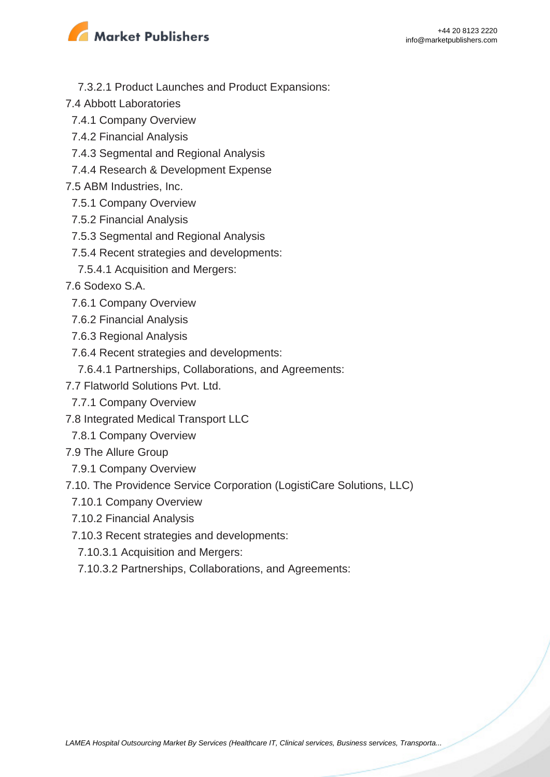

- 7.3.2.1 Product Launches and Product Expansions:
- 7.4 Abbott Laboratories
	- 7.4.1 Company Overview
	- 7.4.2 Financial Analysis
	- 7.4.3 Segmental and Regional Analysis
	- 7.4.4 Research & Development Expense
- 7.5 ABM Industries, Inc.
- 7.5.1 Company Overview
- 7.5.2 Financial Analysis
- 7.5.3 Segmental and Regional Analysis
- 7.5.4 Recent strategies and developments:
- 7.5.4.1 Acquisition and Mergers:
- 7.6 Sodexo S.A.
	- 7.6.1 Company Overview
	- 7.6.2 Financial Analysis
	- 7.6.3 Regional Analysis
	- 7.6.4 Recent strategies and developments:
		- 7.6.4.1 Partnerships, Collaborations, and Agreements:
- 7.7 Flatworld Solutions Pvt. Ltd.
- 7.7.1 Company Overview
- 7.8 Integrated Medical Transport LLC
- 7.8.1 Company Overview
- 7.9 The Allure Group
- 7.9.1 Company Overview
- 7.10. The Providence Service Corporation (LogistiCare Solutions, LLC)
	- 7.10.1 Company Overview
	- 7.10.2 Financial Analysis
	- 7.10.3 Recent strategies and developments:
	- 7.10.3.1 Acquisition and Mergers:
	- 7.10.3.2 Partnerships, Collaborations, and Agreements: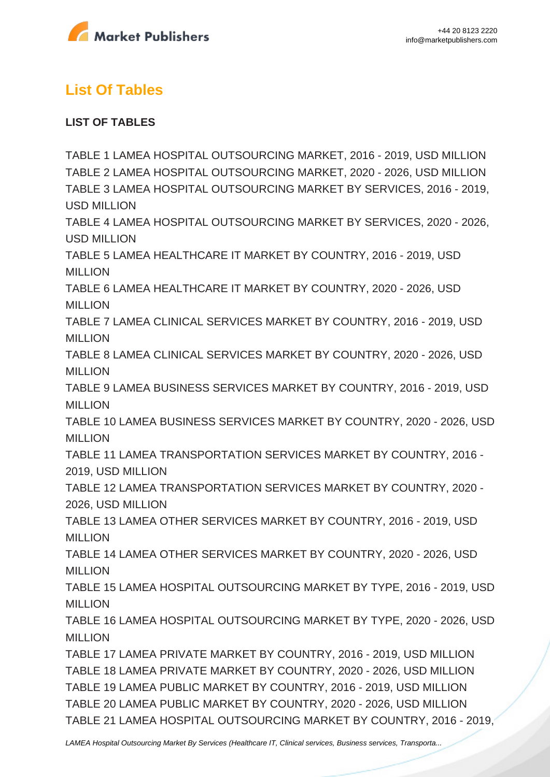

# **List Of Tables**

### **LIST OF TABLES**

TABLE 1 LAMEA HOSPITAL OUTSOURCING MARKET, 2016 - 2019, USD MILLION TABLE 2 LAMEA HOSPITAL OUTSOURCING MARKET, 2020 - 2026, USD MILLION TABLE 3 LAMEA HOSPITAL OUTSOURCING MARKET BY SERVICES, 2016 - 2019, USD MILLION TABLE 4 LAMEA HOSPITAL OUTSOURCING MARKET BY SERVICES, 2020 - 2026, USD MILLION TABLE 5 LAMEA HEALTHCARE IT MARKET BY COUNTRY, 2016 - 2019, USD MILLION TABLE 6 LAMEA HEALTHCARE IT MARKET BY COUNTRY, 2020 - 2026, USD MILLION TABLE 7 LAMEA CLINICAL SERVICES MARKET BY COUNTRY, 2016 - 2019, USD **MILLION** TABLE 8 LAMEA CLINICAL SERVICES MARKET BY COUNTRY, 2020 - 2026, USD MILLION TABLE 9 LAMEA BUSINESS SERVICES MARKET BY COUNTRY, 2016 - 2019, USD MILLION TABLE 10 LAMEA BUSINESS SERVICES MARKET BY COUNTRY, 2020 - 2026, USD MILLION TABLE 11 LAMEA TRANSPORTATION SERVICES MARKET BY COUNTRY, 2016 - 2019, USD MILLION TABLE 12 LAMEA TRANSPORTATION SERVICES MARKET BY COUNTRY, 2020 - 2026, USD MILLION TABLE 13 LAMEA OTHER SERVICES MARKET BY COUNTRY, 2016 - 2019, USD MILLION TABLE 14 LAMEA OTHER SERVICES MARKET BY COUNTRY, 2020 - 2026, USD **MILLION** TABLE 15 LAMEA HOSPITAL OUTSOURCING MARKET BY TYPE, 2016 - 2019, USD MILLION TABLE 16 LAMEA HOSPITAL OUTSOURCING MARKET BY TYPE, 2020 - 2026, USD MILLION TABLE 17 LAMEA PRIVATE MARKET BY COUNTRY, 2016 - 2019, USD MILLION TABLE 18 LAMEA PRIVATE MARKET BY COUNTRY, 2020 - 2026, USD MILLION TABLE 19 LAMEA PUBLIC MARKET BY COUNTRY, 2016 - 2019, USD MILLION TABLE 20 LAMEA PUBLIC MARKET BY COUNTRY, 2020 - 2026, USD MILLION TABLE 21 LAMEA HOSPITAL OUTSOURCING MARKET BY COUNTRY, 2016 - 2019,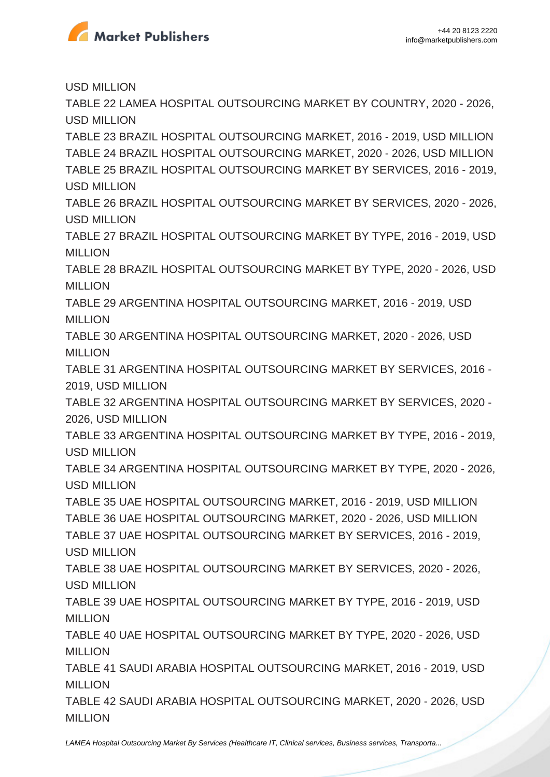

USD MILLION

TABLE 22 LAMEA HOSPITAL OUTSOURCING MARKET BY COUNTRY, 2020 - 2026, USD MILLION

TABLE 23 BRAZIL HOSPITAL OUTSOURCING MARKET, 2016 - 2019, USD MILLION TABLE 24 BRAZIL HOSPITAL OUTSOURCING MARKET, 2020 - 2026, USD MILLION TABLE 25 BRAZIL HOSPITAL OUTSOURCING MARKET BY SERVICES, 2016 - 2019, USD MILLION

TABLE 26 BRAZIL HOSPITAL OUTSOURCING MARKET BY SERVICES, 2020 - 2026, USD MILLION

TABLE 27 BRAZIL HOSPITAL OUTSOURCING MARKET BY TYPE, 2016 - 2019, USD **MILLION** 

TABLE 28 BRAZIL HOSPITAL OUTSOURCING MARKET BY TYPE, 2020 - 2026, USD MILLION

TABLE 29 ARGENTINA HOSPITAL OUTSOURCING MARKET, 2016 - 2019, USD MILLION

TABLE 30 ARGENTINA HOSPITAL OUTSOURCING MARKET, 2020 - 2026, USD MILLION

TABLE 31 ARGENTINA HOSPITAL OUTSOURCING MARKET BY SERVICES, 2016 - 2019, USD MILLION

TABLE 32 ARGENTINA HOSPITAL OUTSOURCING MARKET BY SERVICES, 2020 - 2026, USD MILLION

TABLE 33 ARGENTINA HOSPITAL OUTSOURCING MARKET BY TYPE, 2016 - 2019, USD MILLION

TABLE 34 ARGENTINA HOSPITAL OUTSOURCING MARKET BY TYPE, 2020 - 2026, USD MILLION

TABLE 35 UAE HOSPITAL OUTSOURCING MARKET, 2016 - 2019, USD MILLION TABLE 36 UAE HOSPITAL OUTSOURCING MARKET, 2020 - 2026, USD MILLION TABLE 37 UAE HOSPITAL OUTSOURCING MARKET BY SERVICES, 2016 - 2019, USD MILLION

TABLE 38 UAE HOSPITAL OUTSOURCING MARKET BY SERVICES, 2020 - 2026, USD MILLION

TABLE 39 UAE HOSPITAL OUTSOURCING MARKET BY TYPE, 2016 - 2019, USD MILLION

TABLE 40 UAE HOSPITAL OUTSOURCING MARKET BY TYPE, 2020 - 2026, USD **MILLION** 

TABLE 41 SAUDI ARABIA HOSPITAL OUTSOURCING MARKET, 2016 - 2019, USD **MILLION** 

TABLE 42 SAUDI ARABIA HOSPITAL OUTSOURCING MARKET, 2020 - 2026, USD MILLION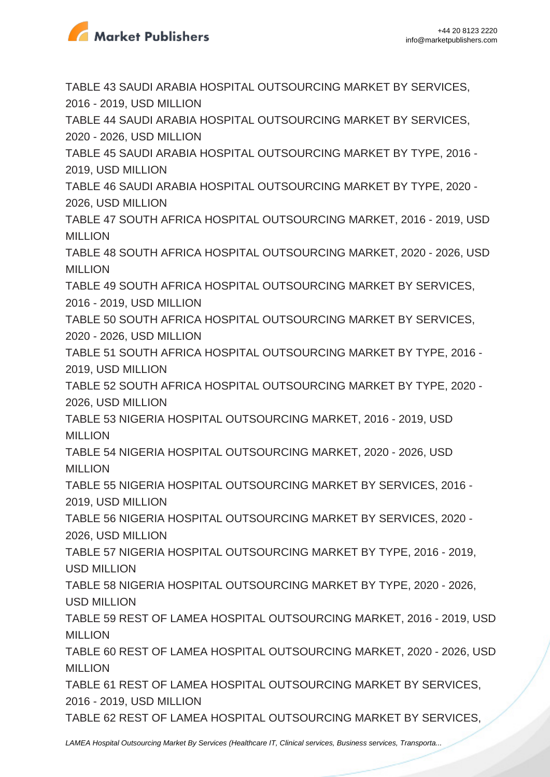

TABLE 43 SAUDI ARABIA HOSPITAL OUTSOURCING MARKET BY SERVICES, 2016 - 2019, USD MILLION TABLE 44 SAUDI ARABIA HOSPITAL OUTSOURCING MARKET BY SERVICES, 2020 - 2026, USD MILLION TABLE 45 SAUDI ARABIA HOSPITAL OUTSOURCING MARKET BY TYPE, 2016 - 2019, USD MILLION TABLE 46 SAUDI ARABIA HOSPITAL OUTSOURCING MARKET BY TYPE, 2020 - 2026, USD MILLION TABLE 47 SOUTH AFRICA HOSPITAL OUTSOURCING MARKET, 2016 - 2019, USD **MILLION** TABLE 48 SOUTH AFRICA HOSPITAL OUTSOURCING MARKET, 2020 - 2026, USD MILLION TABLE 49 SOUTH AFRICA HOSPITAL OUTSOURCING MARKET BY SERVICES, 2016 - 2019, USD MILLION TABLE 50 SOUTH AFRICA HOSPITAL OUTSOURCING MARKET BY SERVICES, 2020 - 2026, USD MILLION TABLE 51 SOUTH AFRICA HOSPITAL OUTSOURCING MARKET BY TYPE, 2016 - 2019, USD MILLION TABLE 52 SOUTH AFRICA HOSPITAL OUTSOURCING MARKET BY TYPE, 2020 - 2026, USD MILLION TABLE 53 NIGERIA HOSPITAL OUTSOURCING MARKET, 2016 - 2019, USD MILLION TABLE 54 NIGERIA HOSPITAL OUTSOURCING MARKET, 2020 - 2026, USD MILLION TABLE 55 NIGERIA HOSPITAL OUTSOURCING MARKET BY SERVICES, 2016 - 2019, USD MILLION TABLE 56 NIGERIA HOSPITAL OUTSOURCING MARKET BY SERVICES, 2020 - 2026, USD MILLION TABLE 57 NIGERIA HOSPITAL OUTSOURCING MARKET BY TYPE, 2016 - 2019, USD MILLION TABLE 58 NIGERIA HOSPITAL OUTSOURCING MARKET BY TYPE, 2020 - 2026, USD MILLION TABLE 59 REST OF LAMEA HOSPITAL OUTSOURCING MARKET, 2016 - 2019, USD MILLION TABLE 60 REST OF LAMEA HOSPITAL OUTSOURCING MARKET, 2020 - 2026, USD MILLION TABLE 61 REST OF LAMEA HOSPITAL OUTSOURCING MARKET BY SERVICES, 2016 - 2019, USD MILLION TABLE 62 REST OF LAMEA HOSPITAL OUTSOURCING MARKET BY SERVICES, [LAMEA Hospital Outsourcing Market By Services \(Healthcare IT, Clinical services, Business services, Transporta...](https://marketpublishers.com/report/healthcare/hospital/lamea-hospital-outsourcing-market-by-services-by-type-by-country-industry-analysis-n-forecast-2020-2026.html)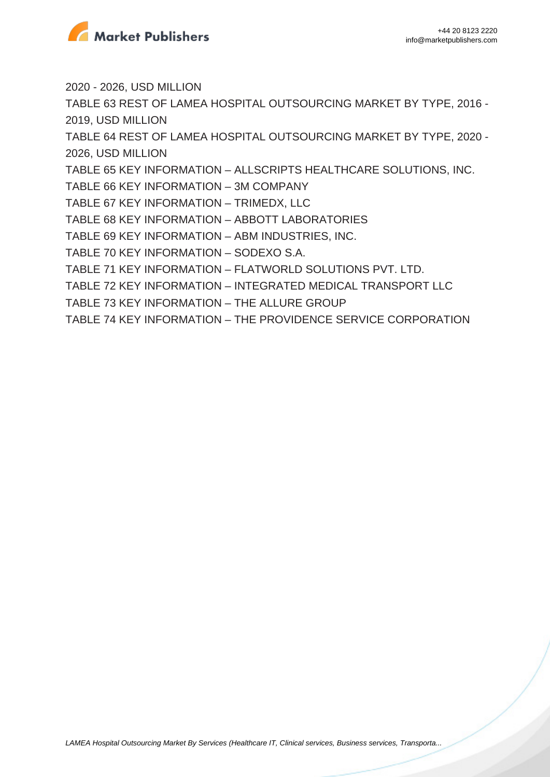

2020 - 2026, USD MILLION

TABLE 63 REST OF LAMEA HOSPITAL OUTSOURCING MARKET BY TYPE, 2016 - 2019, USD MILLION

TABLE 64 REST OF LAMEA HOSPITAL OUTSOURCING MARKET BY TYPE, 2020 - 2026, USD MILLION

TABLE 65 KEY INFORMATION – ALLSCRIPTS HEALTHCARE SOLUTIONS, INC.

TABLE 66 KEY INFORMATION – 3M COMPANY

TABLE 67 KEY INFORMATION – TRIMEDX, LLC

TABLE 68 KEY INFORMATION – ABBOTT LABORATORIES

TABLE 69 KEY INFORMATION – ABM INDUSTRIES, INC.

TABLE 70 KEY INFORMATION – SODEXO S.A.

TABLE 71 KEY INFORMATION – FLATWORLD SOLUTIONS PVT. LTD.

TABLE 72 KEY INFORMATION – INTEGRATED MEDICAL TRANSPORT LLC

TABLE 73 KEY INFORMATION – THE ALLURE GROUP

TABLE 74 KEY INFORMATION – THE PROVIDENCE SERVICE CORPORATION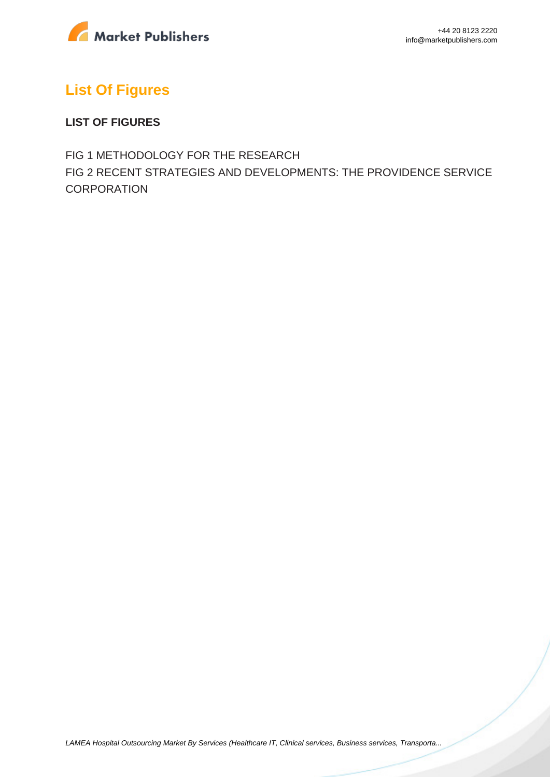

# **List Of Figures**

#### **LIST OF FIGURES**

FIG 1 METHODOLOGY FOR THE RESEARCH FIG 2 RECENT STRATEGIES AND DEVELOPMENTS: THE PROVIDENCE SERVICE **CORPORATION**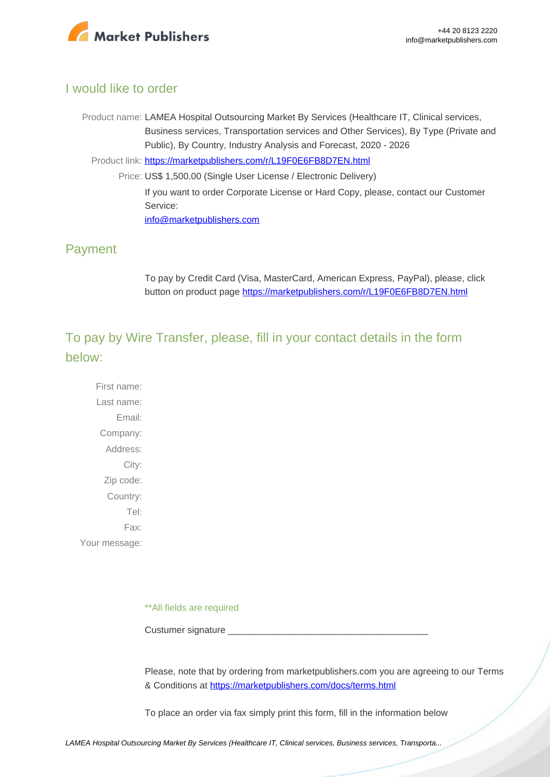

### I would like to order

Product name: LAMEA Hospital Outsourcing Market By Services (Healthcare IT, Clinical services, Business services, Transportation services and Other Services), By Type (Private and Public), By Country, Industry Analysis and Forecast, 2020 - 2026

Product link: [https://marketpublishers.com/r/L19F0E6FB8D7EN.html](https://marketpublishers.com/report/healthcare/hospital/lamea-hospital-outsourcing-market-by-services-by-type-by-country-industry-analysis-n-forecast-2020-2026.html)

Price: US\$ 1,500.00 (Single User License / Electronic Delivery) If you want to order Corporate License or Hard Copy, please, contact our Customer Service: [info@marketpublishers.com](mailto:info@marketpublishers.com)

### Payment

To pay by Credit Card (Visa, MasterCard, American Express, PayPal), please, click button on product page [https://marketpublishers.com/r/L19F0E6FB8D7EN.html](https://marketpublishers.com/report/healthcare/hospital/lamea-hospital-outsourcing-market-by-services-by-type-by-country-industry-analysis-n-forecast-2020-2026.html)

To pay by Wire Transfer, please, fill in your contact details in the form below:

First name: Last name: Email: Company: Address: City: Zip code: Country: Tel: Fax: Your message:

\*\*All fields are required

Custumer signature \_

Please, note that by ordering from marketpublishers.com you are agreeing to our Terms & Conditions at<https://marketpublishers.com/docs/terms.html>

To place an order via fax simply print this form, fill in the information below